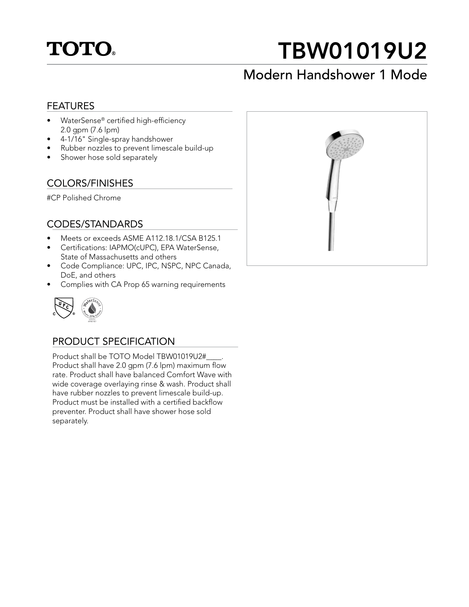

# TBW01019U2

## Modern Handshower 1 Mode

### FEATURES

- WaterSense® certified high-efficiency 2.0 gpm (7.6 lpm)
- 4-1/16" Single-spray handshower
- Rubber nozzles to prevent limescale build-up
- Shower hose sold separately

### COLORS/FINISHES

#CP Polished Chrome

### CODES/STANDARDS

- Meets or exceeds ASME A112.18.1/CSA B125.1
- Certifications: IAPMO(cUPC), EPA WaterSense, State of Massachusetts and others
- Code Compliance: UPC, IPC, NSPC, NPC Canada, DoE, and others
- Complies with CA Prop 65 warning requirements



### PRODUCT SPECIFICATION

Product shall be TOTO Model TBW01019U2#\_\_\_\_. Product shall have 2.0 gpm (7.6 lpm) maximum flow rate. Product shall have balanced Comfort Wave with wide coverage overlaying rinse & wash. Product shall have rubber nozzles to prevent limescale build-up. Product must be installed with a certified backflow preventer. Product shall have shower hose sold separately.